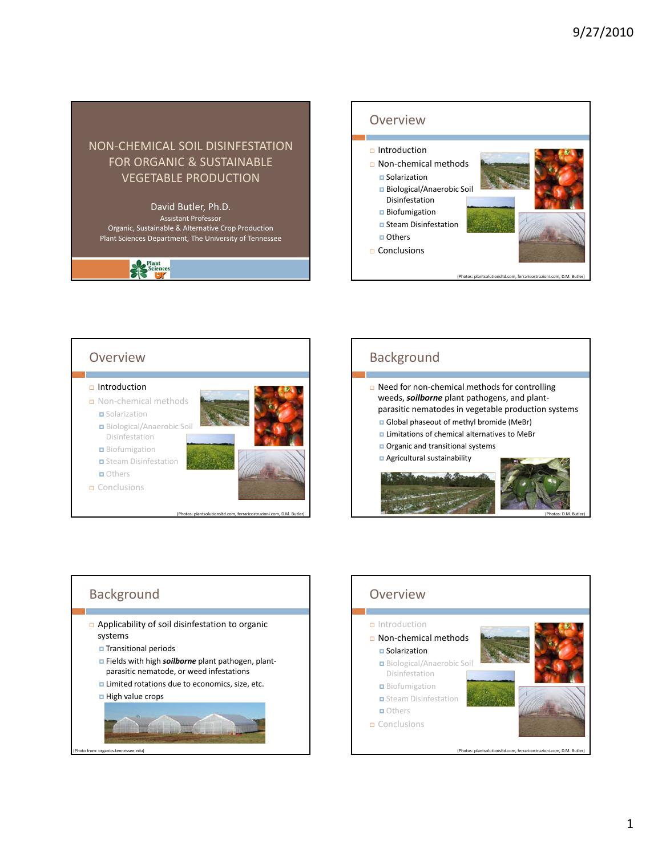

#### David Butler, Ph.D. Assistant Professor

Organic, Sustainable & Alternative Crop Production Plant Sciences Department, The University of Tennessee

Seience





# Background

- □ Need for non-chemical methods for controlling weeds, *soilborne* plant pathogens, and plant‐ parasitic nematodes in vegetable production systems Global phaseout of methyl bromide (MeBr)
	- **Limitations of chemical alternatives to MeBr**
	- **Organic and transitional systems**
	- Agricultural sustainability



# **Background**  Applicability of soil disinfestation to organic systems Transitional periods **E** Fields with high *soilborne* plant pathogen, plantparasitic nematode, or weed infestations **Limited rotations due to economics, size, etc.** High value crops

(Photo from: organics.tennessee.edu)

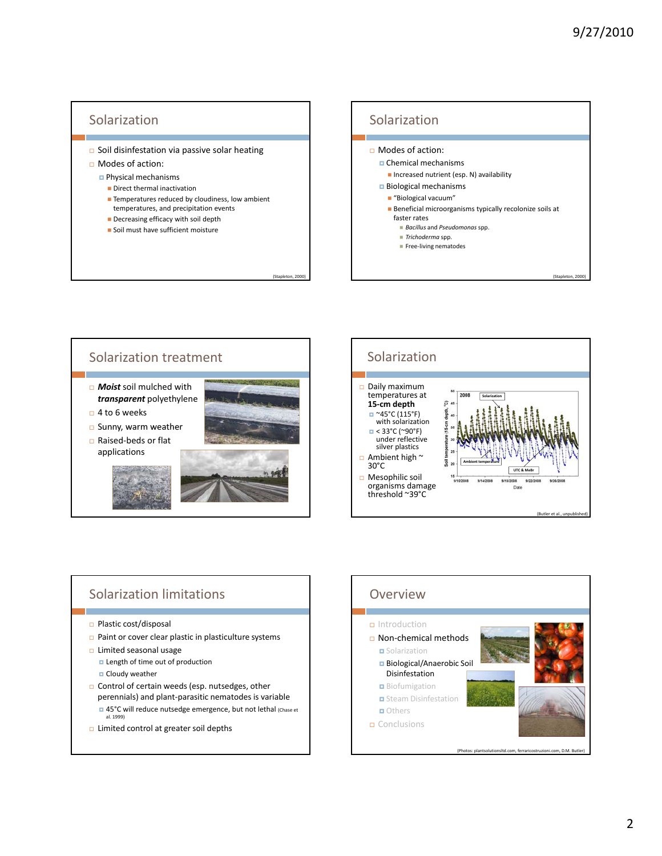# **Solarization**

- Soil disinfestation via passive solar heating
- Modes of action:
	- Physical mechanisms
		- **Direct thermal inactivation**
		- **Temperatures reduced by cloudiness, low ambient** temperatures, and precipitation events

(Stapleto

- Decreasing efficacy with soil depth
- **Soil must have sufficient moisture**







### Solarization limitations

- □ Plastic cost/disposal
- Paint or cover clear plastic in plasticulture systems
- $\Box$  Limited seasonal usage
	- **Length of time out of production**
	- **D** Cloudy weather
- Control of certain weeds (esp. nutsedges, other perennials) and plant‐parasitic nematodes is variable □ 45°C will reduce nutsedge emergence, but not lethal (Chase et al. 1999)
- **D** Limited control at greater soil depths

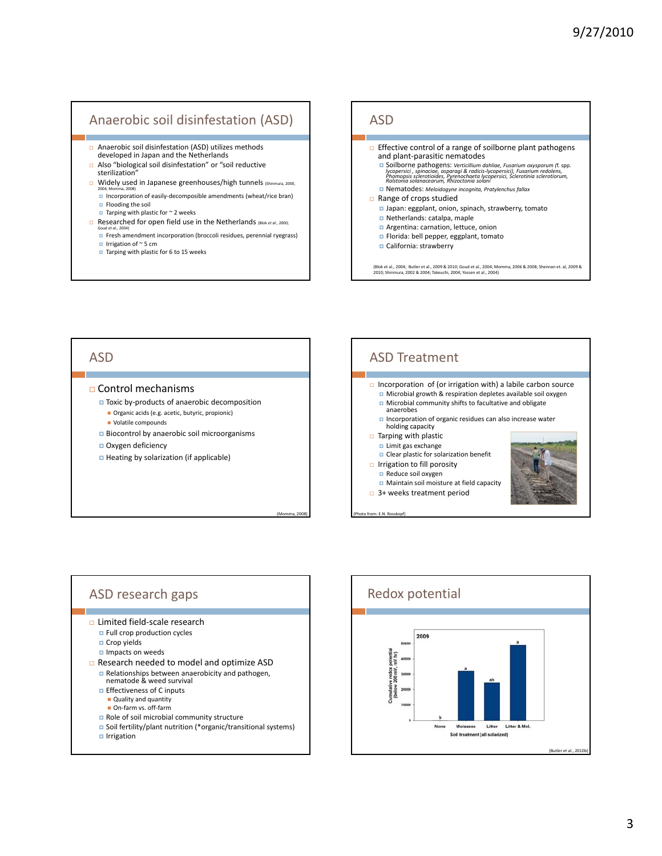# Anaerobic soil disinfestation (ASD)

- Anaerobic soil disinfestation (ASD) utilizes methods developed in Japan and the Netherlands
- Also "biological soil disinfestation" or "soil reductive sterilization
- □ Widely used in Japanese greenhouses/high tunnels (Shinmura, 2000, 2004; Momma, 2008)
	- Incorporation of easily‐decomposible amendments (wheat/rice bran) **Flooding the soil**
	- $\Box$  Tarping with plastic for  $\sim$  2 weeks
- Researched for open field use in the Netherlands (Blok *et al.*, 2000;
	- Goud *et al.*, 2004) Fresh amendment incorporation (broccoli residues, perennial ryegrass)
	- $\blacksquare$  Irrigation of ~ 5 cm
	- $\Box$  Tarping with plastic for 6 to 15 weeks



# ASD

#### Control mechanisms

- Toxic by-products of anaerobic decomposition
	- Organic acids (e.g. acetic, butyric, propionic)
	- Volatile compounds
- **Biocontrol by anaerobic soil microorganisms**

(Momma, 2008)

- Oxygen deficiency
- **Heating by solarization (if applicable)**



ASD research gaps

- Limited field‐scale research
	- **E** Full crop production cycles
	- **□** Crop yields
	- **Impacts on weeds**
- Research needed to model and optimize ASD
	- Relationships between anaerobicity and pathogen,
	- nematode & weed survival
	- **E** Effectiveness of C inputs
		- Quality and quantity ■ On-farm vs. off-farm
	- Role of soil microbial community structure
	- Soil fertility/plant nutrition (\*organic/transitional systems)

Irrigation

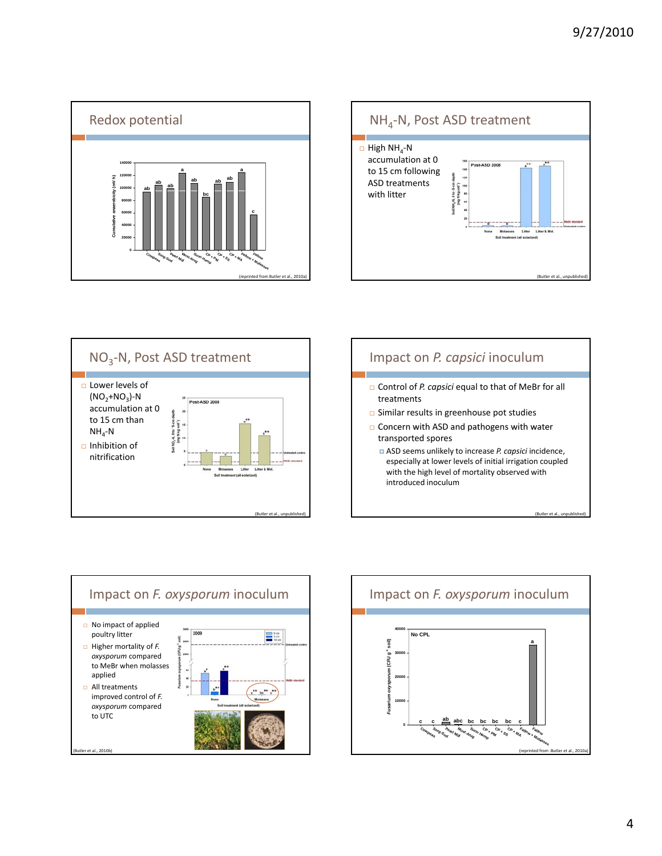









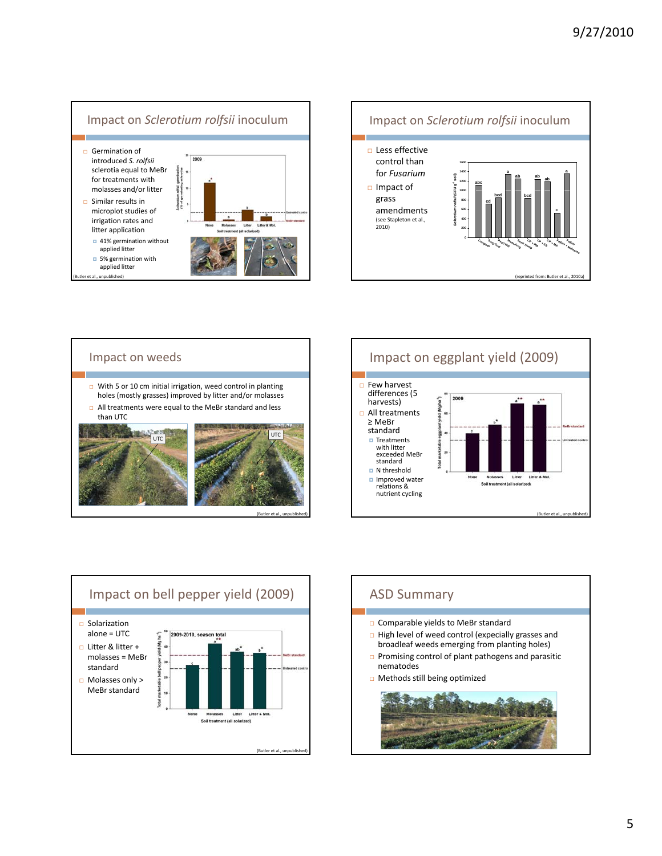









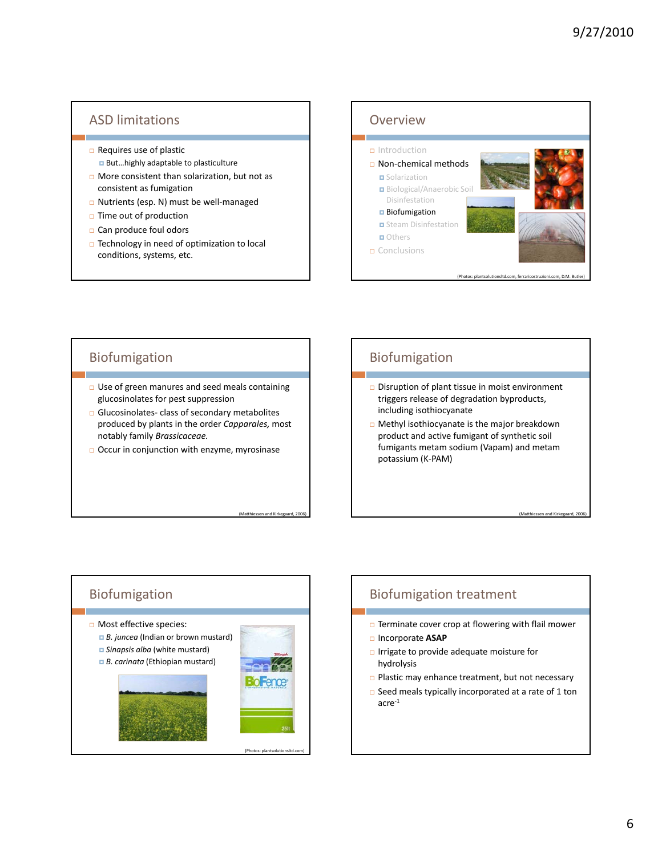### ASD limitations

- $\Box$  Requires use of plastic
	- But...highly adaptable to plasticulture
- □ More consistent than solarization, but not as consistent as fumigation
- □ Nutrients (esp. N) must be well-managed
- $\Box$  Time out of production
- □ Can produce foul odors
- Technology in need of optimization to local conditions, systems, etc.



#### Biofumigation

- □ Use of green manures and seed meals containing glucosinolates for pest suppression
- □ Glucosinolates- class of secondary metabolites produced by plants in the order *Capparales,* most notably family *Brassicaceae.*
- Occur in conjunction with enzyme, myrosinase

(Matthiessen and Kirkegaard

# Biofumigation

- □ Disruption of plant tissue in moist environment triggers release of degradation byproducts, including isothiocyanate
- Methyl isothiocyanate is the major breakdown product and active fumigant of synthetic soil fumigants metam sodium (Vapam) and metam potassium (K‐PAM)

en and Kirkegaard, 20



# Biofumigation treatment

- $\Box$  Terminate cover crop at flowering with flail mower
- Incorporate **ASAP**
- **D** Irrigate to provide adequate moisture for hydrolysis
- Plastic may enhance treatment, but not necessary
- □ Seed meals typically incorporated at a rate of 1 ton  $\arctan 1$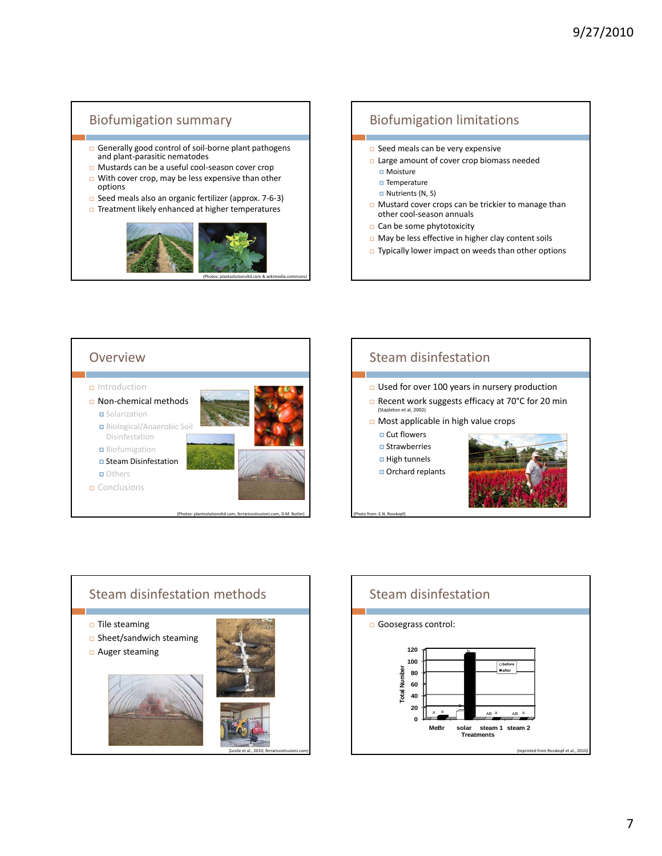# Biofumigation summary

- □ Generally good control of soil-borne plant pathogens and plant‐parasitic nematodes
- Mustards can be a useful cool‐season cover crop
- $\Box$  With cover crop, may be less expensive than other options
- Seed meals also an organic fertilizer (approx. 7‐6‐3)



(Photos: plantsolutionsltd.com & wikimedia commons)

# Biofumigation limitations

- $\Box$  Seed meals can be very expensive
- Large amount of cover crop biomass needed
	- **D** Moisture
	- **□** Temperature  $\blacksquare$  Nutrients (N, S)
	-
- **D** Mustard cover crops can be trickier to manage than other cool‐season annuals
- Can be some phytotoxicity
- May be less effective in higher clay content soils
- □ Typically lower impact on weeds than other options







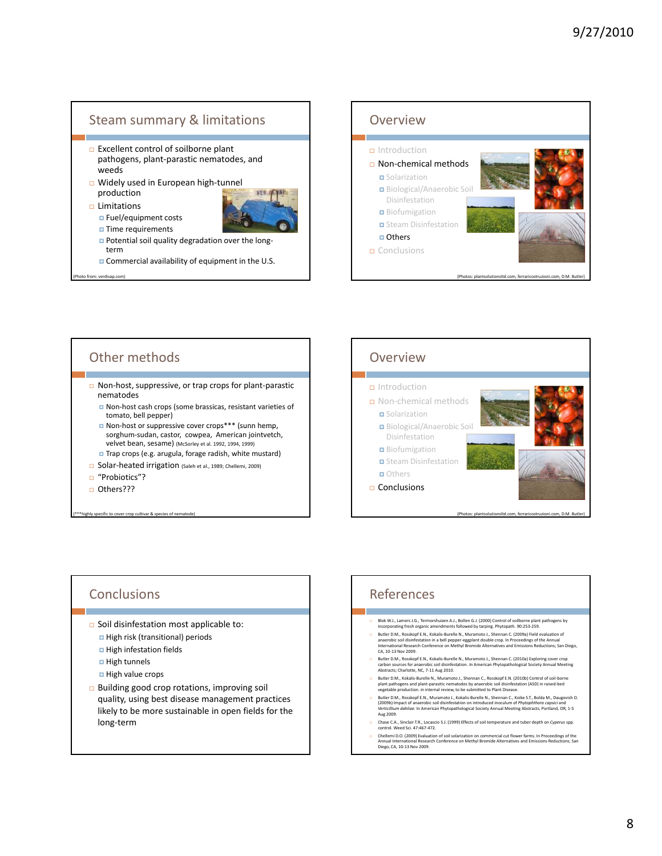#### Steam summary & limitations

- Excellent control of soilborne plant pathogens, plant‐parastic nematodes, and weeds
- □ Widely used in European high-tunnel production
- $\Box$  Limitations

**Fuel/equipment costs** ■ Time requirements



- Potential soil quality degradation over the longterm
- **n** Commercial availability of equipment in the U.S.

from: verdivap.com)



# Other methods

- Non‐host, suppressive, or trap crops for plant‐parastic nematodes
	- Non-host cash crops (some brassicas, resistant varieties of tomato, bell pepper)
	- Non-host or suppressive cover crops\*\*\* (sunn hemp, sorghum‐sudan, castor, cowpea, American jointvetch, velvet bean, sesame) (McSorley et al. 1992, 1994, 1999)
	- Trap crops (e.g. arugula, forage radish, white mustard)
- □ Solar-heated irrigation (Saleh et al., 1989; Chellemi, 2009)
- "Probiotics"?
- □ Others???

(hly specific to cover crop cultivar & species of nem



#### **Conclusions**

- □ Soil disinfestation most applicable to: □ High risk (transitional) periods
	- High infestation fields
	- High tunnels
	- High value crops
	-
- $\Box$  Building good crop rotations, improving soil quality, using best disease management practices likely to be more sustainable in open fields for the long‐term

# References

- Blok W.J., Lamers J.G., Termorshuizen A.J., Bollen G.J. (2000) Control of soilborne plant pathogens by incorporating fresh organic amendments followed by tarping. Phytopath. 90:253‐259.
- Butler D.M., Rosskopf E.M., Kokalis-Burelle N., Muramoto J., Shennan C. (2009a) Field evaluation of<br>anaerobic soil disinfestation in a bell pepper-eggplant double crop. In Proceedings of the Annual<br>International Research C
- a Butler D.M., Rosskopf E.N., Kokalis-Burelle N., Muramoto J., Shennan C. (2010a) Exploring cover crop<br>carbon sources for anaerobic soil disinfestation. In American Phytopathological Society Annual Meeting<br>Abstracts; Charl
- 
- Butler D.M., Kokialis-Burelle N., Muramoto J., Shennan C., Rosskopf E.N. (2010b) Control of soil-borner plant pathogens and plant-parasitic nematodes by anaerobic soil disinfestation (ASD) in raised-bed<br>vegetable producti
- Chase C.A., Sinclair T.R., Locascio S.J. (1999) Effects of soil temperature and tuber depth on *Cyperus* spp. control. Weed Sci. 47:467‐472.
- Dhellemi D.O. (2009) Evaluation of soil solarization on commercial cut flower farms. In Proceedings of the Annual Interactional Research Conference on Methyl Bromide Alternations; San<br>Annual International Research Conferen